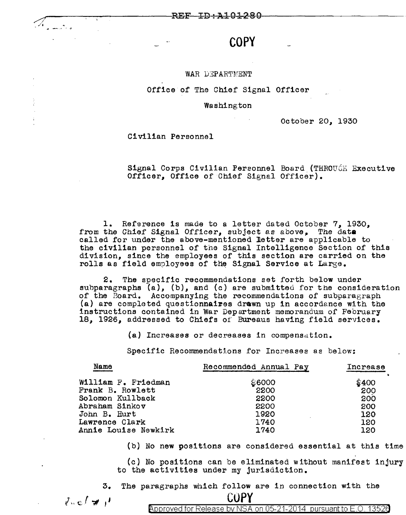**COPY** 

#### WAR DEPARTMENT

### Office of The Chief Signal Officer

#### Washington

October 20, 1930

Civilian Personnel

Signal Corps Civilian Personnel Board (THROUGH Executive Officer, Office of Chief Signal Officer).

1. Reference is made to a letter dated October 7, 1930, from the Chief Signal Officer, subject as above, The data called for under the above-mentioned 1etter are applicable to the civilian personnel of the Signal Intelligence Section of this division, since the employees of this section are carried on the rolls as field employees of the Signal Service at Large.

2. The soecific recommendations set forth below under subparagraphs (a), (b), and (c) are submitted for the consideration of the Board. Accompanying the recommendations of subparagraph  $(a)$  are completed questionnaires drawn up in accordance with the instructions contained in War Department memorandum of February 18, 1926, addressed to Chiefs oi' Bureaus having field services.

 $(a)$  Increases or decreases in compensation.

Specific Recommendations for Increases as below:

| Recommended Annual Pay | Increase |
|------------------------|----------|
|                        | \$400    |
| 2200                   | 200      |
| 2200                   | 200      |
| 2200                   | 200      |
| 1920                   | 120      |
| 1740                   | 120      |
| 1740                   | 120      |
|                        | \$6000   |

{b) No new positions are considered essential at this time

(c) No positions can be eliminated without manifest injury to the activities under my jurisdiction.

3. The paragraphs which follow are in connection with the

**COPY** 

 $J_{\rm{ne}}/J_{\rm{eff}}$ 

*/ ./i* .;, .;, -··· •::;-

Approved for Release by NSA on 05-21-2014 pursuant to E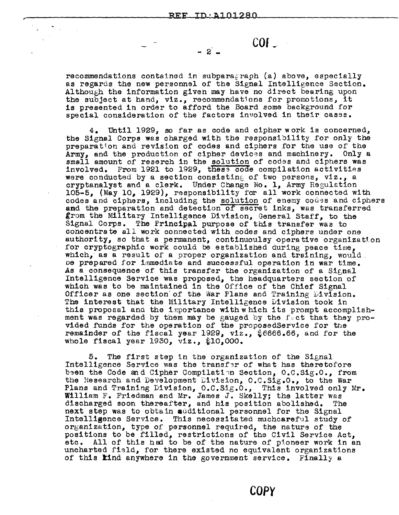$-2$  -

**COE ...** 

recommendations contained in subparagraph (a) above, especially as regards the new personnel of the Signal Intelligence Section. Although the information given may have no direct bearing upon the subject at hand, viz., recommendatjons for promotions, it is presented in order to afford the Board some background for special consideration of the factors involved in their casss.

4. Until 1929, so far as code and cipher work is concerned, the Signal Corps was charged with the responsibility for only the preparation and revision of codes and ciphers for the use of the Army, and the production of cipher devices and machinery. Only a small amount of reserch in the solution of codes and ciphers was involved. From 1921 to 1929, these code compilation activities were conducted by a section consisting of two persons, viz., a cryptanalyst and a clerk. Under Change No. 1, Army Regulation 105-5, (May 10, 1929), responsibility for all work connected with codes and ciphers, including the solution of enemy codes and ciphers and the preparation and detection of secret inks, was transferred grom the Military Intelligence Division, General Staff, to the Signal Corps. The Principal purpose of this transfer was to concentrate all work connected with codes and ciphers under one authority, so that a permanent, continuoulsy operative organization for cryptographic work could be established during peace time, which, as a result of a proper organization and training, would. oe prepared for immediate and successful operation in war time. As a consequence of this transfer the organization of a Signal Intelligence Service was proposed, the headquarters section of which was to be maintained in the Office of the Chief Signal Officer as one section of the War Plans and Training  $L1$ vision. The interest that the Military Intelligence Division took in this proposal and the importance with which its prompt accomplishment was regarded by them may be gauged by the fect that they provided funds for the operation of the proposedService for the remainder of the fiscal year 1929,  $v1z$ .,  $$6666.66$ , and for the whole fiscal year  $1930$ ,  $v1z$ .,  $$10,000$ .

5. The first step in the organization of the Signal Intelligence Service was the transfer of what has theretofore been the Code and Cipher Compilation Section, O.C.Sig.O., from the Research and Development Division, O.C.Sig.O., to the War Plans and Training Division, O.C.Sig.0., This involved only Mr. William F. Friedman and Mr. James J. Skelly; the latter was discharged soon thereafter, and his position abolished. The discharged soon thereafter, and his position abolished. next step was to obtain additional personnel for the Signal Intelli@ence Service. This necessitated muchcareful study of organization, type of personnel required, the natura of the positions to be filled, restrictions of the Civil Service Act, etc. All of this had to be of the nature of pioneer work in an uncharted fi3ld, for there existed no equivalent organizations of this kind anywhere in the government service. Finally a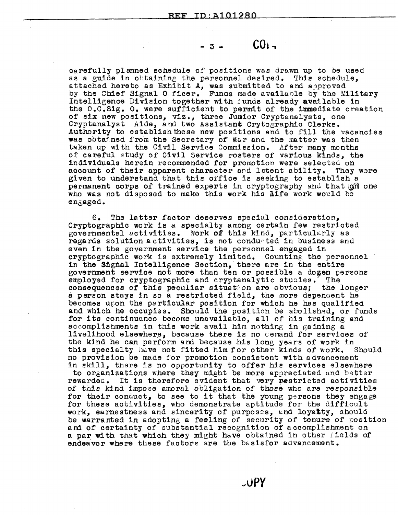$-3 - \cdot \cdot \cdot \cdot \cdot \cdot = 0$ 

carefully planned schedule of positions was drawn up to be used as a guide in obtaining the personnel desired. This schedule, attached hereto as Exhibit A, was submitted to and approved by the Chief Signal Officer. Funds made available by the Military Intelligence Division together with funds already available in the O.C.Sig. o. were sufficient to permit of the immediate creation of six new positions, viz., three Jumior Cryptanalysts, one Cryptanalyst Aide, and two Assistant Crytographic Clerks. Authority to establishtbese new positions and to fill the vacancies was obtained from the Secretary of War and the matter was then taken up with the Civil Service Commission. After many months of careful study of Civil Service rosters of various kinds, the individuals herein recommended for promotion were selected on account of their apparent character and latent ability. They were given to understand that this office is seeking to establish a permanent corps of trained experts in cryptography and that  $|q\hat{n}|$  one who was not disposed to make this work his life work would be engaged.

6. The latter factor deserves special consideration, Cryptographic work is a specialty among certain few restricted governmental activities. Work of this kind, particularly as regards solution a ctivities, is not condurted in business and even in the government service the personnel engaged in cryptographic work is extremely limited. Counting the personnel in the Signal Intelligence Section, there are in the entire government service not more than ten or possible a dozen persons employed for cryptographic and cryptanalytic studies. The employed for cryptographic and cryptanalytic studies. consequences of this peculiar situation are obvious; the longer a person stays in so a restricted field, the more depenuent he becomes uron the particular position for which he has qualified and which he occupies. Should the position be abolished, or funds for its continuance become unavailable, all of his training and accomplishments in this work avail him nothing in gaining a livelihood elsewhere, because there is no cemand for services of the kind he can perform and because his long years of work in this specialty have not fitted him for other kinds of work. Should this specialty have not fitted him for other kinds of work. no provision be made for promotion consistent with advancement in skill, there is no opportunity to offer his services elsewhere

to organizations where they might be more appreciated and better rewarded. It is therefore evident that very restricted activities of tnis kind impose amoral obligation of those who are responsible for their conduct, to see to it that the young persons they engage for these activities, who demonstrate aptitude for the difficult work, earnestness and sincerity of purposes, and loyalty, should be warranted in adopting a feeling of security of tenure of position and of certainty of substantial recognition of accomplishment on a par with that which they might have obtained in other iields of endeavor where these factors are the basisfor advancement.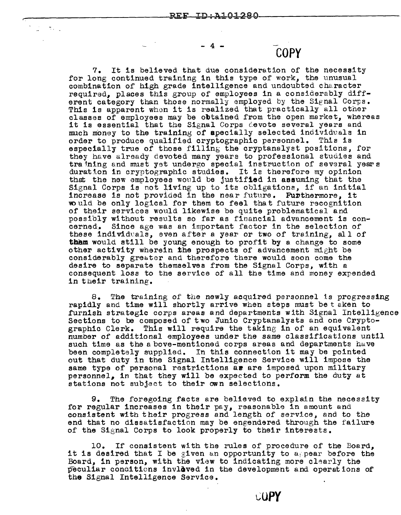$\pi_{\rm{max}}$ 

# - 4 - **COPY**

7. It is believed that due consideration of the necessity for long continued training in this type of work, the unusual combination of high grade intelligence and undoubted character required, places this group of employees in a considerably different category than those normally employed by the Signal Corps. This is apparent when it is realized that practically all other classes of employees may be obtained from the open market, whereas it is essential that the Signal Corps cevote several years and much money to the training of apecially selected individuals in order to produce qualified cryptographic personnel. This is order to produce qualified cryptographic personnel. especially true of those filling the cryptanalyst positions, for they have already devoted many years to professional studies and training and must yet undergo special instruction of several years duration in cryptographic studies. It is therefore my opinion that the new employees would be justified in assuming that the Signal Corps is not living up to its obligations, if an initial increase is not provided in the near future. Furthermore, it vould be only logical for them to feel that future recognition of their services would likewise be quite problematical and possibly without results so far as financial advancement is concerned. Since age was an important factor in the selection of these individuals, even after a year or two of training, all of **them** would still be young enough to profit by a change to some other activity wherein the prospects of advancement might be considerably greater and therefore there would soon come the desire to separate themselves from the Signal Corps, with a consequent loss to the service of all the time and money expended in their training.

8. The training of the newly acquired personnel is progressing rapidly and time will shortly arrive when steps must be taken to furnish strategic corps areas and departments with Signal Intelligence Sections to be composed of two Junio Cryptanalysts and one Crypto-<br>graphic Clerk. This will require the taking in of an equivalent This will require the taking in of an equivalent number of additional employees under the same classifications until such time as the above-mentioned corps areas and departments have been completely supplied. In this connection it may be pointed out that duty in the Signal Intelligence Service will impose the same type of personal restrictions ar are imposed upon military personnel, in that they will be expected to perform the duty at stations not subject to their own selections.

9. The foregoing £acts are believed to explain the necessity for regular increases in their pay, reasonable in amount and consistent with their progress and length of service, and to the end that no dissatisfaction may be engendered through the failure of the Signal Corps to look properly to their interests.

10. If consistent with the rules of procedure of the Board, it is desired that I be given an opportunity to a pear before the Board, in person, with the view to indicating more clearly the peculiar conditions invloved in the development and operations of the Signal Intelligence Service.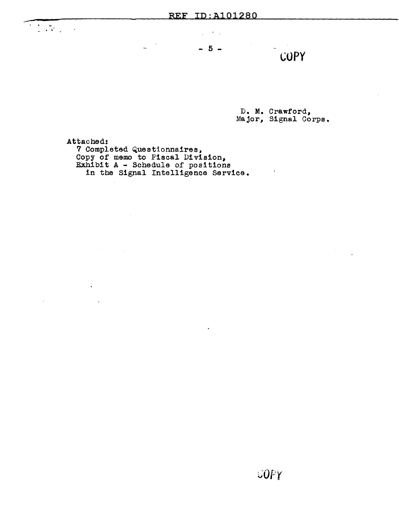$- 5 -$ 

COPY

D. M. Crawford, Major, Signal Corps.

 $\sim$   $\sim$ 

Attached: 7 Completed Questionnaires, Copy of memo to F'iscal Di vision, Exhibit A - Schedule of positions in the Signal Intelligence Service.

 $\sim 10^{-10}$ 

 $\ddot{\phantom{a}}$ 

 $\overline{a}$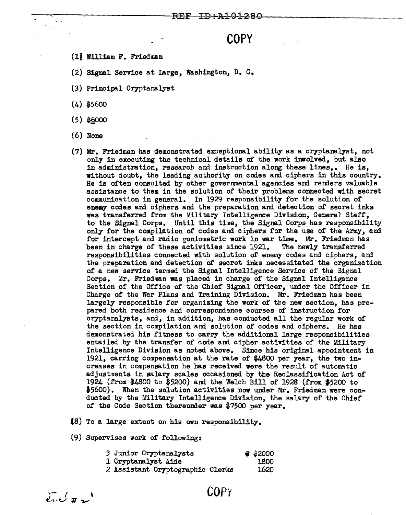## **COPY**

- (11 William F. Friedman
- (2) Signal Service at Large, Washington,  $D. C.$
- (3) Principal Cryptanalyst

 $(4)$  \$5600

- $(5)$  \$6000
- (6) None
- (7) Mr. Friedman has demonstrated exceptional ability as a cryptanalyst, not only in executing the technical details of the work imrolved, but also in administration, research and instruction along these lines,. He is, without doubt, the leading authority on codes and ciphers in this country. He is often consulted by other governmental agencies and renders valuable assistance to them in the solution of their problems connected with secret communication in general. In 1929 responsibility for the solution of enemy codes and ciphers and the preparation and detection of secret inks was transferred from the Military Intelligence Division, General Staff, to the Signal Corps. Until this time, the Signal Corps has responsibility only for the compilation of codes and ciphers for the use of the Anny, ani for intercept and radio goniometric work in war time. Mr. Friedman has been in charge of these activities since 1921. The newly transferred responsibilities connected with solution of enemy codes and ciphers, and the preparation and detection of secret inks necessitated the organization of a new service termed the Signal Intelligence Service of the Signal Corps. Mr. Friedman was placed in charge of the Signal Intelligance Section of the Office of the Chief Signal Officer, under the Officer in Charge of the War Plans and Training Division. Mr. Friedman has been largely responsible for organizing the work of the new section, has prepared both residence and correspondence courses of instruction for cryptanalysts, and, in addition, has conducted all the regular work of the section in compilation and solution of codes and ciphers. He has demonstrated his fitness to carry the additional large responsibilities entailed by the transfer of code and cipher activities of the Military Intelligence Division as noted above. Since his original appointment in 1921, earring compensation at the rate of \$4800 per year, the two increases in compensation he has received were the result of automatic adjustments in salary scales occasioned by the Reclassification Act of 1924 (from \$4800 to \$5200) and the Welch Bill of 1928 (from \$5200 to  $$5600$ . When the solution activities now under Mr. Friedman were conducted by the Military Intelligence Division, the salary of the Chief of the Code Section thereunder was  $$7500$  per year.
- tS) To a large extent on his own responsibility.
- $(9)$  Supervises work of following:

| 3 Junior Cryptanalysts           |  | $\bullet$ \$2000 |
|----------------------------------|--|------------------|
| 1 Cryptanalyst Aide              |  | 1800             |
| 2 Assistant Cryptographic Clerks |  | 1620             |

 $\overline{\mathcal{E}}$ u $\mathcal{L}$   $\overline{\mathcal{F}}$ 

COPY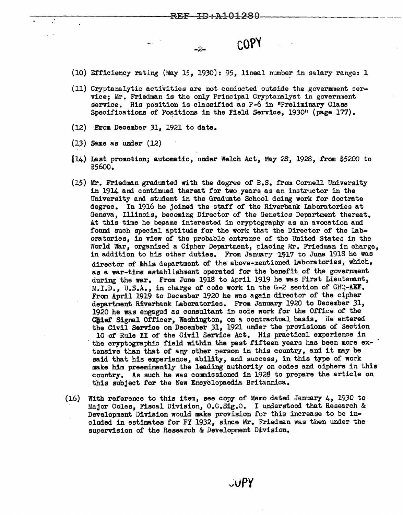-2- **coP'l** 

(10) Efficiency rating (May 15, 1930): 95, lineal number in salary range: 1

- (11) Cryptanalytic activities are not conducted outside the govermnent service; Mr. Friedman is the only Principal Cryptanalyst in government service. His position is classified as P-6 in "Preliminary Class Specifications of Positions in the Field Service,  $1930$ <sup>n</sup> (page 177).
- (12) Erom December 31, 1921 to date.
- $(13)$  Same as under  $(12)$
- $114$ ) Last promotion; automatic, under Welch Act, May 28, 1928, from \$5200 to \$5600.
- {15) Mr. Friedman graduated with the degree of B.S. from Cornell University in 1914 am continued thereat for two years as an instructor in the University and student in the Graduate School doing work for doctrate degree. In 1916 he joined the staff of the Riverbank Laboratories at Geneva, Illinois, becoming Director of the Genetics Department thereat. At this time he became interested in cryptography as an avocation and found such special aptitude for the work that the Director of the Laboratories, in view of the probable entrance of the United States in the World War, organized a Cipher Department, placing Mr. Friedman in charge, in addition to his other duties. From January 1917 to June 1918 he was director of hhis department of the above-mentioned Laboratories, which, as a war-time establishment operated for the benefit of the government during the war. From June 191S to April 1919 he was First Lieutenant, M.I.D., U.S.A., in charge of code work in the G-2 section of GHQ-AEF. From April 1919 to December 1920 he was again director of the cipher department Riverbank Laboratories. From January 1920 to December 31, 1920 he was engaged as consultant in code work for the Office of the Chief Signal Officer, Washington, on a contractual basis. He entered the Civil Serviee on December 31, 1921 unier the provisions of Section 10 of Rule II of the Civil Service Act. His practical experience in the cryptographic field within the past fifteen years has been more extensive than that of any other person in this country, and it may be said that his experience, ability, and success, in this type of work make him preeminently the leading authority on codes and ciphers in this country. As such he was commissioned in 1928 to prepare the article on this subject for the New Encyelopaedia Britannica.
- (16) With reference to this item, see copy of Memo dated January 4, 1930 to Major Coles, Fiscal Division, O.C.Sig.O. I understood that Research & Development Division would make provision for this increase to be included in estimates for FY 1932, since Mr. Friedman was then under the supervision of the Research & Development Division.